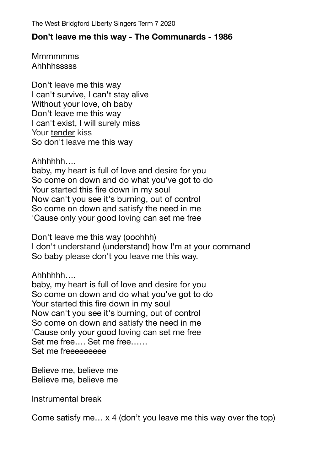## **Don't leave me this way - The Communards - 1986**

**Mmmmmms Ahhhhsssss** 

Don't [leave](https://www.definitions.net/definition/leave) me this way I can't survive, I can't stay alive Without your love, oh baby Don't leave me this way I can't exist, I will [surely](https://www.definitions.net/definition/surely) miss Your [tender](https://www.definitions.net/definition/tender) kiss So don't [leave](https://www.definitions.net/definition/leave) me this way

Ahhhhhh….

baby, my [heart](https://www.definitions.net/definition/heart) is full of love and [desire](https://www.definitions.net/definition/desire) for you So come on down and do what you've got to do Your [started](https://www.definitions.net/definition/started) this fire down in my soul Now can't you see it's burning, out of control So come on down and [satisfy](https://www.definitions.net/definition/satisfy) the need in me 'Cause only your good [loving](https://www.definitions.net/definition/loving) can set me free

Don't [leave](https://www.definitions.net/definition/leave) me this way (ooohhh) I don't [understand](https://www.definitions.net/definition/understand) (understand) how I'm at your command So baby [please](https://www.definitions.net/definition/please) don't you [leave](https://www.definitions.net/definition/leave) me this way.

Ahhhhhh….

baby, my [heart](https://www.definitions.net/definition/heart) is full of love and [desire](https://www.definitions.net/definition/desire) for you So come on down and do what you've got to do Your [started](https://www.definitions.net/definition/started) this fire down in my soul Now can't you see it's burning, out of control So come on down and [satisfy](https://www.definitions.net/definition/satisfy) the need in me 'Cause only your good [loving](https://www.definitions.net/definition/loving) can set me free Set me free…. Set me free…… Set me freeeeeeeee

Believe me, believe me Believe me, believe me

Instrumental break

Come satisfy me… x 4 (don't you leave me this way over the top)